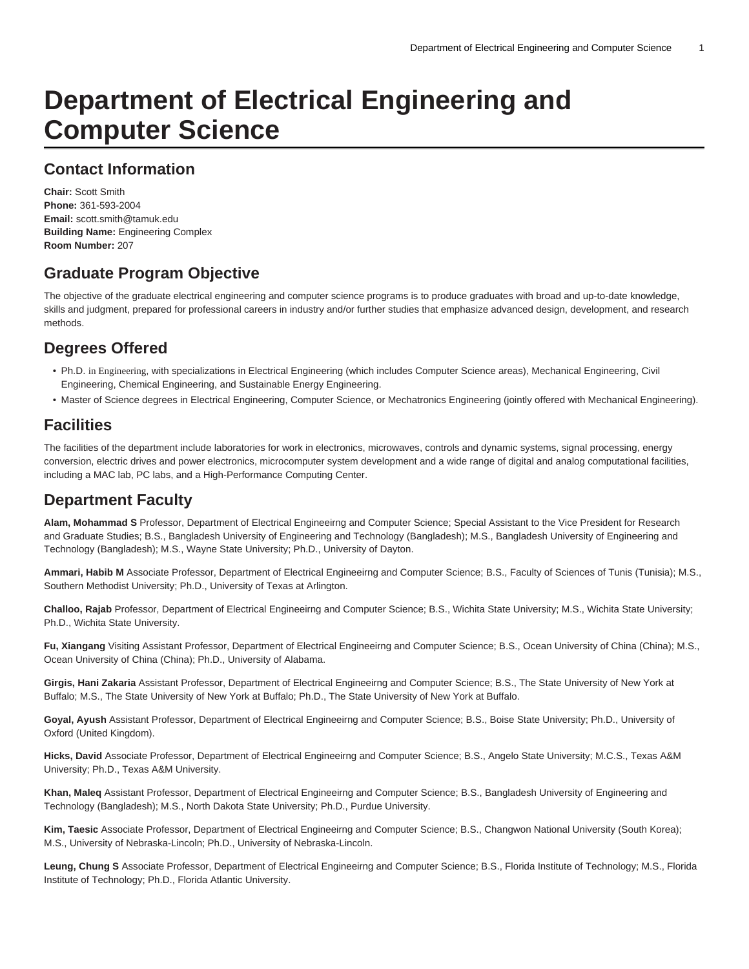# **Department of Electrical Engineering and Computer Science**

### **Contact Information**

**Chair:** Scott Smith **Phone:** 361-593-2004 **Email:** [scott.smith@tamuk.edu](mailto:scott.smith@tamuk.edu) **Building Name:** Engineering Complex **Room Number:** 207

## **Graduate Program Objective**

The objective of the graduate electrical engineering and computer science programs is to produce graduates with broad and up-to-date knowledge, skills and judgment, prepared for professional careers in industry and/or further studies that emphasize advanced design, development, and research methods.

# **Degrees Offered**

- Ph.D. in Engineering, with specializations in Electrical Engineering (which includes Computer Science areas), Mechanical Engineering, Civil Engineering, Chemical Engineering, and Sustainable Energy Engineering.
- Master of Science degrees in Electrical Engineering, Computer Science, or Mechatronics Engineering (jointly offered with Mechanical Engineering).

### **Facilities**

The facilities of the department include laboratories for work in electronics, microwaves, controls and dynamic systems, signal processing, energy conversion, electric drives and power electronics, microcomputer system development and a wide range of digital and analog computational facilities, including a MAC lab, PC labs, and a High-Performance Computing Center.

### **Department Faculty**

**Alam, Mohammad S** Professor, Department of Electrical Engineeirng and Computer Science; Special Assistant to the Vice President for Research and Graduate Studies; B.S., Bangladesh University of Engineering and Technology (Bangladesh); M.S., Bangladesh University of Engineering and Technology (Bangladesh); M.S., Wayne State University; Ph.D., University of Dayton.

Ammari, Habib M Associate Professor, Department of Electrical Engineeirng and Computer Science; B.S., Faculty of Sciences of Tunis (Tunisia); M.S., Southern Methodist University; Ph.D., University of Texas at Arlington.

**Challoo, Rajab** Professor, Department of Electrical Engineeirng and Computer Science; B.S., Wichita State University; M.S., Wichita State University; Ph.D., Wichita State University.

Fu, Xiangang Visiting Assistant Professor, Department of Electrical Engineeirng and Computer Science; B.S., Ocean University of China (China); M.S., Ocean University of China (China); Ph.D., University of Alabama.

**Girgis, Hani Zakaria** Assistant Professor, Department of Electrical Engineeirng and Computer Science; B.S., The State University of New York at Buffalo; M.S., The State University of New York at Buffalo; Ph.D., The State University of New York at Buffalo.

**Goyal, Ayush** Assistant Professor, Department of Electrical Engineeirng and Computer Science; B.S., Boise State University; Ph.D., University of Oxford (United Kingdom).

**Hicks, David** Associate Professor, Department of Electrical Engineeirng and Computer Science; B.S., Angelo State University; M.C.S., Texas A&M University; Ph.D., Texas A&M University.

**Khan, Maleq** Assistant Professor, Department of Electrical Engineeirng and Computer Science; B.S., Bangladesh University of Engineering and Technology (Bangladesh); M.S., North Dakota State University; Ph.D., Purdue University.

**Kim, Taesic** Associate Professor, Department of Electrical Engineeirng and Computer Science; B.S., Changwon National University (South Korea); M.S., University of Nebraska-Lincoln; Ph.D., University of Nebraska-Lincoln.

**Leung, Chung S** Associate Professor, Department of Electrical Engineeirng and Computer Science; B.S., Florida Institute of Technology; M.S., Florida Institute of Technology; Ph.D., Florida Atlantic University.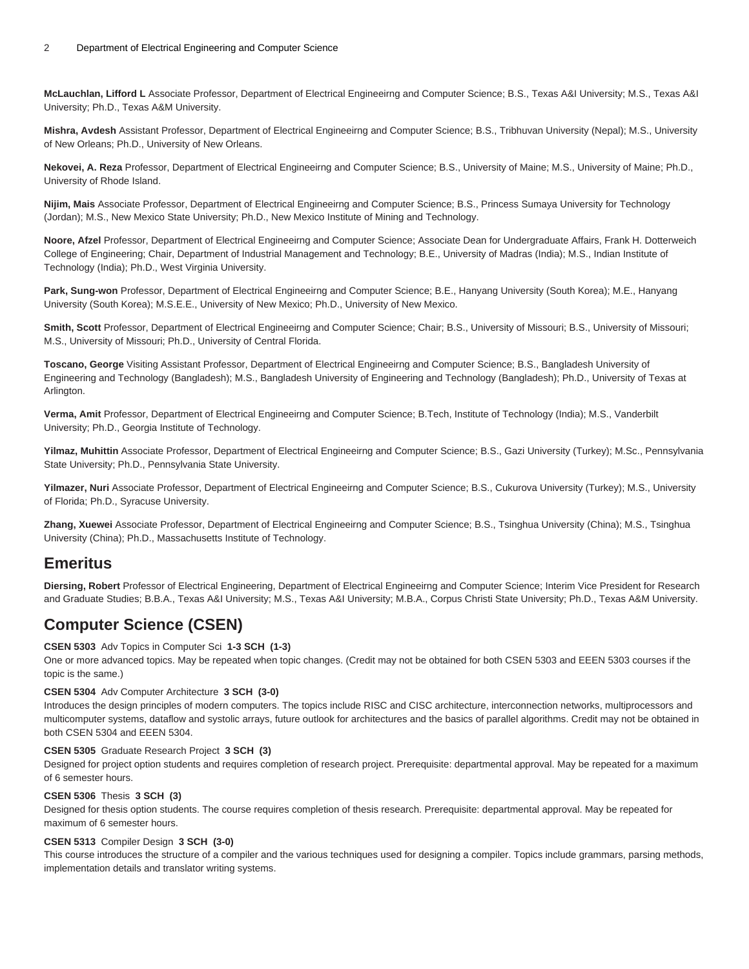**McLauchlan, Lifford L** Associate Professor, Department of Electrical Engineeirng and Computer Science; B.S., Texas A&I University; M.S., Texas A&I University; Ph.D., Texas A&M University.

**Mishra, Avdesh** Assistant Professor, Department of Electrical Engineeirng and Computer Science; B.S., Tribhuvan University (Nepal); M.S., University of New Orleans; Ph.D., University of New Orleans.

**Nekovei, A. Reza** Professor, Department of Electrical Engineeirng and Computer Science; B.S., University of Maine; M.S., University of Maine; Ph.D., University of Rhode Island.

**Nijim, Mais** Associate Professor, Department of Electrical Engineeirng and Computer Science; B.S., Princess Sumaya University for Technology (Jordan); M.S., New Mexico State University; Ph.D., New Mexico Institute of Mining and Technology.

**Noore, Afzel** Professor, Department of Electrical Engineeirng and Computer Science; Associate Dean for Undergraduate Affairs, Frank H. Dotterweich College of Engineering; Chair, Department of Industrial Management and Technology; B.E., University of Madras (India); M.S., Indian Institute of Technology (India); Ph.D., West Virginia University.

**Park, Sung-won** Professor, Department of Electrical Engineeirng and Computer Science; B.E., Hanyang University (South Korea); M.E., Hanyang University (South Korea); M.S.E.E., University of New Mexico; Ph.D., University of New Mexico.

**Smith, Scott** Professor, Department of Electrical Engineeirng and Computer Science; Chair; B.S., University of Missouri; B.S., University of Missouri; M.S., University of Missouri; Ph.D., University of Central Florida.

**Toscano, George** Visiting Assistant Professor, Department of Electrical Engineeirng and Computer Science; B.S., Bangladesh University of Engineering and Technology (Bangladesh); M.S., Bangladesh University of Engineering and Technology (Bangladesh); Ph.D., University of Texas at Arlington.

**Verma, Amit** Professor, Department of Electrical Engineeirng and Computer Science; B.Tech, Institute of Technology (India); M.S., Vanderbilt University; Ph.D., Georgia Institute of Technology.

**Yilmaz, Muhittin** Associate Professor, Department of Electrical Engineeirng and Computer Science; B.S., Gazi University (Turkey); M.Sc., Pennsylvania State University; Ph.D., Pennsylvania State University.

**Yilmazer, Nuri** Associate Professor, Department of Electrical Engineeirng and Computer Science; B.S., Cukurova University (Turkey); M.S., University of Florida; Ph.D., Syracuse University.

**Zhang, Xuewei** Associate Professor, Department of Electrical Engineeirng and Computer Science; B.S., Tsinghua University (China); M.S., Tsinghua University (China); Ph.D., Massachusetts Institute of Technology.

### **Emeritus**

**Diersing, Robert** Professor of Electrical Engineering, Department of Electrical Engineeirng and Computer Science; Interim Vice President for Research and Graduate Studies; B.B.A., Texas A&I University; M.S., Texas A&I University; M.B.A., Corpus Christi State University; Ph.D., Texas A&M University.

# **Computer Science (CSEN)**

### **CSEN 5303** Adv Topics in Computer Sci **1-3 SCH (1-3)**

One or more advanced topics. May be repeated when topic changes. (Credit may not be obtained for both CSEN 5303 and EEEN 5303 courses if the topic is the same.)

### **CSEN 5304** Adv Computer Architecture **3 SCH (3-0)**

Introduces the design principles of modern computers. The topics include RISC and CISC architecture, interconnection networks, multiprocessors and multicomputer systems, dataflow and systolic arrays, future outlook for architectures and the basics of parallel algorithms. Credit may not be obtained in both CSEN 5304 and EEEN 5304.

#### **CSEN 5305** Graduate Research Project **3 SCH (3)**

Designed for project option students and requires completion of research project. Prerequisite: departmental approval. May be repeated for a maximum of 6 semester hours.

#### **CSEN 5306** Thesis **3 SCH (3)**

Designed for thesis option students. The course requires completion of thesis research. Prerequisite: departmental approval. May be repeated for maximum of 6 semester hours.

#### **CSEN 5313** Compiler Design **3 SCH (3-0)**

This course introduces the structure of a compiler and the various techniques used for designing a compiler. Topics include grammars, parsing methods, implementation details and translator writing systems.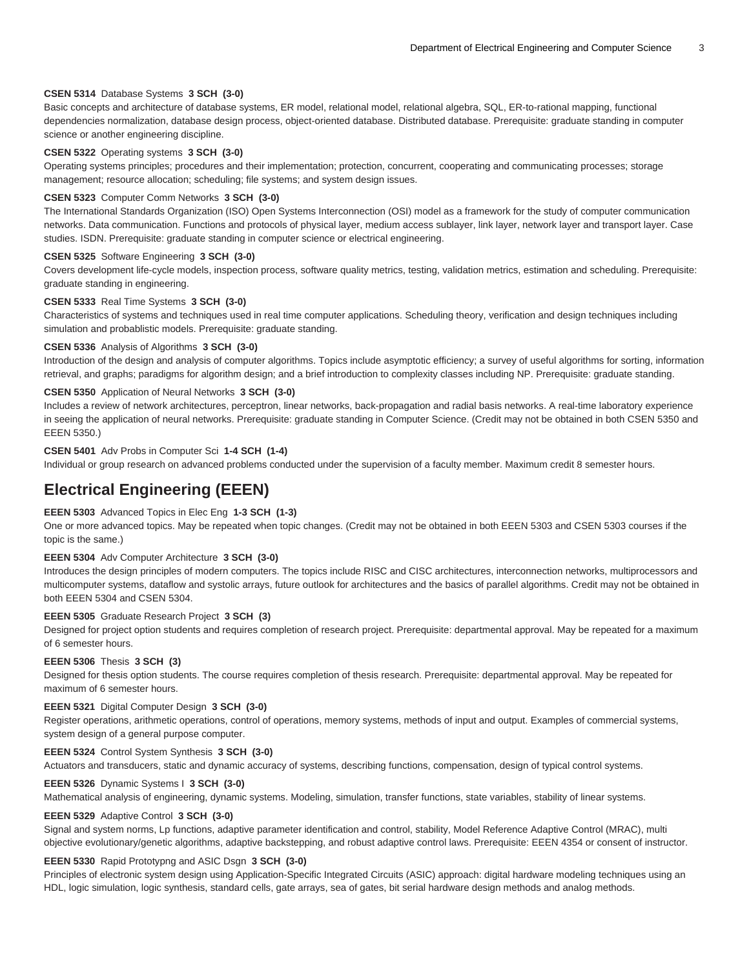#### **CSEN 5314** Database Systems **3 SCH (3-0)**

Basic concepts and architecture of database systems, ER model, relational model, relational algebra, SQL, ER-to-rational mapping, functional dependencies normalization, database design process, object-oriented database. Distributed database. Prerequisite: graduate standing in computer science or another engineering discipline.

#### **CSEN 5322** Operating systems **3 SCH (3-0)**

Operating systems principles; procedures and their implementation; protection, concurrent, cooperating and communicating processes; storage management; resource allocation; scheduling; file systems; and system design issues.

#### **CSEN 5323** Computer Comm Networks **3 SCH (3-0)**

The International Standards Organization (ISO) Open Systems Interconnection (OSI) model as a framework for the study of computer communication networks. Data communication. Functions and protocols of physical layer, medium access sublayer, link layer, network layer and transport layer. Case studies. ISDN. Prerequisite: graduate standing in computer science or electrical engineering.

#### **CSEN 5325** Software Engineering **3 SCH (3-0)**

Covers development life-cycle models, inspection process, software quality metrics, testing, validation metrics, estimation and scheduling. Prerequisite: graduate standing in engineering.

#### **CSEN 5333** Real Time Systems **3 SCH (3-0)**

Characteristics of systems and techniques used in real time computer applications. Scheduling theory, verification and design techniques including simulation and probablistic models. Prerequisite: graduate standing.

#### **CSEN 5336** Analysis of Algorithms **3 SCH (3-0)**

Introduction of the design and analysis of computer algorithms. Topics include asymptotic efficiency; a survey of useful algorithms for sorting, information retrieval, and graphs; paradigms for algorithm design; and a brief introduction to complexity classes including NP. Prerequisite: graduate standing.

#### **CSEN 5350** Application of Neural Networks **3 SCH (3-0)**

Includes a review of network architectures, perceptron, linear networks, back-propagation and radial basis networks. A real-time laboratory experience in seeing the application of neural networks. Prerequisite: graduate standing in Computer Science. (Credit may not be obtained in both CSEN 5350 and EEEN 5350.)

#### **CSEN 5401** Adv Probs in Computer Sci **1-4 SCH (1-4)**

Individual or group research on advanced problems conducted under the supervision of a faculty member. Maximum credit 8 semester hours.

### **Electrical Engineering (EEEN)**

#### **EEEN 5303** Advanced Topics in Elec Eng **1-3 SCH (1-3)**

One or more advanced topics. May be repeated when topic changes. (Credit may not be obtained in both EEEN 5303 and CSEN 5303 courses if the topic is the same.)

#### **EEEN 5304** Adv Computer Architecture **3 SCH (3-0)**

Introduces the design principles of modern computers. The topics include RISC and CISC architectures, interconnection networks, multiprocessors and multicomputer systems, dataflow and systolic arrays, future outlook for architectures and the basics of parallel algorithms. Credit may not be obtained in both EEEN 5304 and CSEN 5304.

#### **EEEN 5305** Graduate Research Project **3 SCH (3)**

Designed for project option students and requires completion of research project. Prerequisite: departmental approval. May be repeated for a maximum of 6 semester hours.

#### **EEEN 5306** Thesis **3 SCH (3)**

Designed for thesis option students. The course requires completion of thesis research. Prerequisite: departmental approval. May be repeated for maximum of 6 semester hours.

#### **EEEN 5321** Digital Computer Design **3 SCH (3-0)**

Register operations, arithmetic operations, control of operations, memory systems, methods of input and output. Examples of commercial systems, system design of a general purpose computer.

#### **EEEN 5324** Control System Synthesis **3 SCH (3-0)**

Actuators and transducers, static and dynamic accuracy of systems, describing functions, compensation, design of typical control systems.

#### **EEEN 5326** Dynamic Systems I **3 SCH (3-0)**

Mathematical analysis of engineering, dynamic systems. Modeling, simulation, transfer functions, state variables, stability of linear systems.

#### **EEEN 5329** Adaptive Control **3 SCH (3-0)**

Signal and system norms, Lp functions, adaptive parameter identification and control, stability, Model Reference Adaptive Control (MRAC), multi objective evolutionary/genetic algorithms, adaptive backstepping, and robust adaptive control laws. Prerequisite: EEEN 4354 or consent of instructor.

#### **EEEN 5330** Rapid Prototypng and ASIC Dsgn **3 SCH (3-0)**

Principles of electronic system design using Application-Specific Integrated Circuits (ASIC) approach: digital hardware modeling techniques using an HDL, logic simulation, logic synthesis, standard cells, gate arrays, sea of gates, bit serial hardware design methods and analog methods.